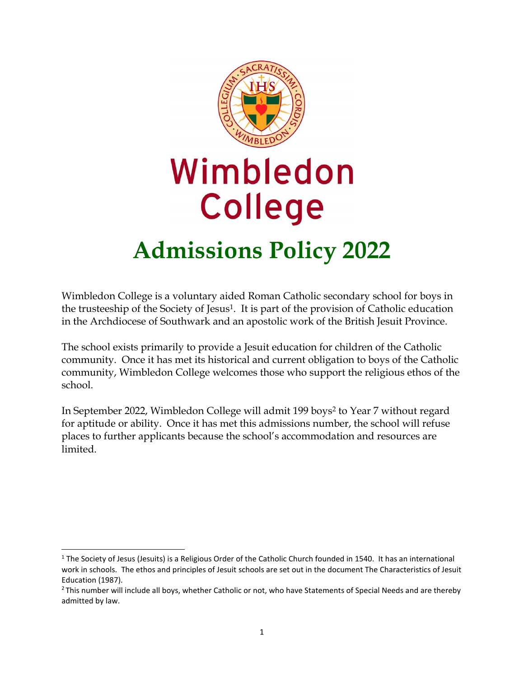

## Wimbledon **College Admissions Policy 2022**

# Wimbledon College is a voluntary aided Roman Catholic secondary school for boys in

the trusteeship of the Society of Jesus1. It is part of the provision of Catholic education in the Archdiocese of Southwark and an apostolic work of the British Jesuit Province.

The school exists primarily to provide a Jesuit education for children of the Catholic community. Once it has met its historical and current obligation to boys of the Catholic community, Wimbledon College welcomes those who support the religious ethos of the school.

In September 2022, Wimbledon College will admit 199 boys<sup>2</sup> to Year 7 without regard for aptitude or ability. Once it has met this admissions number, the school will refuse places to further applicants because the school's accommodation and resources are limited.

<sup>&</sup>lt;sup>1</sup> The Society of Jesus (Jesuits) is a Religious Order of the Catholic Church founded in 1540. It has an international work in schools. The ethos and principles of Jesuit schools are set out in the document The Characteristics of Jesuit Education (1987).

<sup>&</sup>lt;sup>2</sup> This number will include all boys, whether Catholic or not, who have Statements of Special Needs and are thereby admitted by law.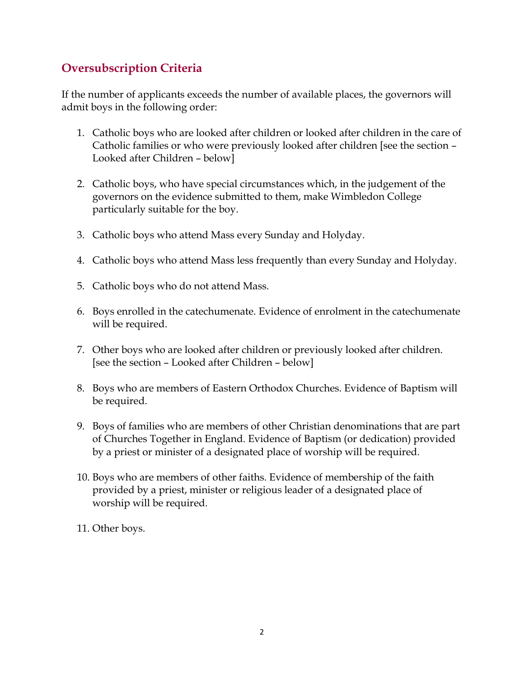## **Oversubscription Criteria**

If the number of applicants exceeds the number of available places, the governors will admit boys in the following order:

- 1. Catholic boys who are looked after children or looked after children in the care of Catholic families or who were previously looked after children [see the section – Looked after Children – below]
- 2. Catholic boys, who have special circumstances which, in the judgement of the governors on the evidence submitted to them, make Wimbledon College particularly suitable for the boy.
- 3. Catholic boys who attend Mass every Sunday and Holyday.
- 4. Catholic boys who attend Mass less frequently than every Sunday and Holyday.
- 5. Catholic boys who do not attend Mass.
- 6. Boys enrolled in the catechumenate. Evidence of enrolment in the catechumenate will be required.
- 7. Other boys who are looked after children or previously looked after children. [see the section – Looked after Children – below]
- 8. Boys who are members of Eastern Orthodox Churches. Evidence of Baptism will be required.
- 9. Boys of families who are members of other Christian denominations that are part of Churches Together in England. Evidence of Baptism (or dedication) provided by a priest or minister of a designated place of worship will be required.
- 10. Boys who are members of other faiths. Evidence of membership of the faith provided by a priest, minister or religious leader of a designated place of worship will be required.
- 11. Other boys.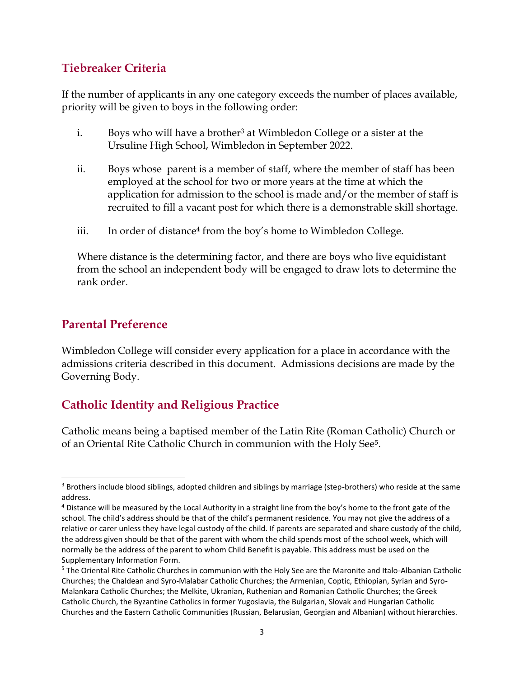### **Tiebreaker Criteria**

If the number of applicants in any one category exceeds the number of places available, priority will be given to boys in the following order:

- i. Boys who will have a brother<sup>3</sup> at Wimbledon College or a sister at the Ursuline High School, Wimbledon in September 2022.
- ii. Boys whose parent is a member of staff, where the member of staff has been employed at the school for two or more years at the time at which the application for admission to the school is made and/or the member of staff is recruited to fill a vacant post for which there is a demonstrable skill shortage.
- iii. In order of distance<sup>4</sup> from the boy's home to Wimbledon College.

Where distance is the determining factor, and there are boys who live equidistant from the school an independent body will be engaged to draw lots to determine the rank order.

#### **Parental Preference**

 $\overline{a}$ 

Wimbledon College will consider every application for a place in accordance with the admissions criteria described in this document. Admissions decisions are made by the Governing Body.

## **Catholic Identity and Religious Practice**

Catholic means being a baptised member of the Latin Rite (Roman Catholic) Church or of an Oriental Rite Catholic Church in communion with the Holy See5.

<sup>&</sup>lt;sup>3</sup> Brothers include blood siblings, adopted children and siblings by marriage (step-brothers) who reside at the same address.

<sup>&</sup>lt;sup>4</sup> Distance will be measured by the Local Authority in a straight line from the boy's home to the front gate of the school. The child's address should be that of the child's permanent residence. You may not give the address of a relative or carer unless they have legal custody of the child. If parents are separated and share custody of the child, the address given should be that of the parent with whom the child spends most of the school week, which will normally be the address of the parent to whom Child Benefit is payable. This address must be used on the Supplementary Information Form.

<sup>5</sup> The Oriental Rite Catholic Churches in communion with the Holy See are the Maronite and Italo-Albanian Catholic Churches; the Chaldean and Syro-Malabar Catholic Churches; the Armenian, Coptic, Ethiopian, Syrian and Syro-Malankara Catholic Churches; the Melkite, Ukranian, Ruthenian and Romanian Catholic Churches; the Greek Catholic Church, the Byzantine Catholics in former Yugoslavia, the Bulgarian, Slovak and Hungarian Catholic Churches and the Eastern Catholic Communities (Russian, Belarusian, Georgian and Albanian) without hierarchies.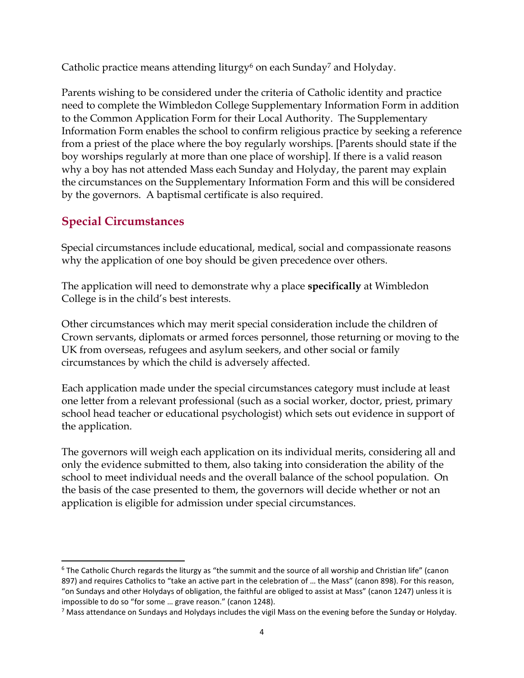Catholic practice means attending liturgy<sup>6</sup> on each Sunday<sup>7</sup> and Holyday.

Parents wishing to be considered under the criteria of Catholic identity and practice need to complete the Wimbledon College Supplementary Information Form in addition to the Common Application Form for their Local Authority. The Supplementary Information Form enables the school to confirm religious practice by seeking a reference from a priest of the place where the boy regularly worships. [Parents should state if the boy worships regularly at more than one place of worship]. If there is a valid reason why a boy has not attended Mass each Sunday and Holyday, the parent may explain the circumstances on the Supplementary Information Form and this will be considered by the governors. A baptismal certificate is also required.

## **Special Circumstances**

Special circumstances include educational, medical, social and compassionate reasons why the application of one boy should be given precedence over others.

The application will need to demonstrate why a place **specifically** at Wimbledon College is in the child's best interests.

Other circumstances which may merit special consideration include the children of Crown servants, diplomats or armed forces personnel, those returning or moving to the UK from overseas, refugees and asylum seekers, and other social or family circumstances by which the child is adversely affected.

Each application made under the special circumstances category must include at least one letter from a relevant professional (such as a social worker, doctor, priest, primary school head teacher or educational psychologist) which sets out evidence in support of the application.

The governors will weigh each application on its individual merits, considering all and only the evidence submitted to them, also taking into consideration the ability of the school to meet individual needs and the overall balance of the school population. On the basis of the case presented to them, the governors will decide whether or not an application is eligible for admission under special circumstances.

<sup>&</sup>lt;sup>6</sup> The Catholic Church regards the liturgy as "the summit and the source of all worship and Christian life" (canon 897) and requires Catholics to "take an active part in the celebration of … the Mass" (canon 898). For this reason, "on Sundays and other Holydays of obligation, the faithful are obliged to assist at Mass" (canon 1247) unless it is impossible to do so "for some … grave reason." (canon 1248).

<sup>7</sup> Mass attendance on Sundays and Holydays includes the vigil Mass on the evening before the Sunday or Holyday.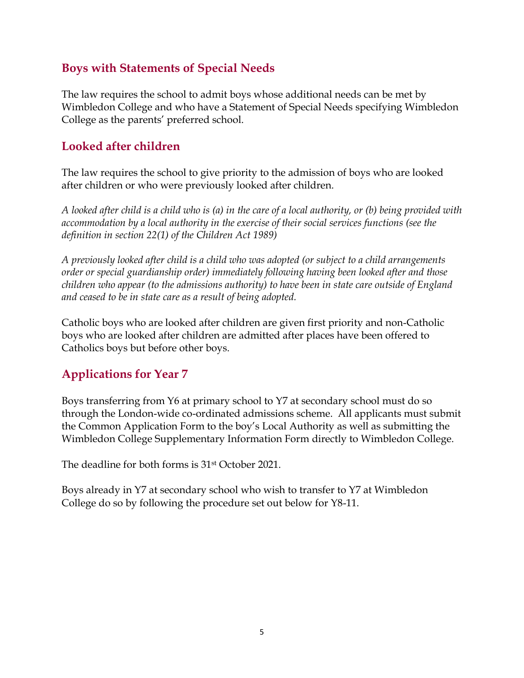#### **Boys with Statements of Special Needs**

The law requires the school to admit boys whose additional needs can be met by Wimbledon College and who have a Statement of Special Needs specifying Wimbledon College as the parents' preferred school.

#### **Looked after children**

The law requires the school to give priority to the admission of boys who are looked after children or who were previously looked after children.

*A looked after child is a child who is (a) in the care of a local authority, or (b) being provided with accommodation by a local authority in the exercise of their social services functions (see the definition in section 22(1) of the Children Act 1989)*

*A previously looked after child is a child who was adopted (or subject to a child arrangements order or special guardianship order) immediately following having been looked after and those children who appear (to the admissions authority) to have been in state care outside of England and ceased to be in state care as a result of being adopted.*

Catholic boys who are looked after children are given first priority and non-Catholic boys who are looked after children are admitted after places have been offered to Catholics boys but before other boys.

## **Applications for Year 7**

Boys transferring from Y6 at primary school to Y7 at secondary school must do so through the London-wide co-ordinated admissions scheme. All applicants must submit the Common Application Form to the boy's Local Authority as well as submitting the Wimbledon College Supplementary Information Form directly to Wimbledon College.

The deadline for both forms is 31st October 2021.

Boys already in Y7 at secondary school who wish to transfer to Y7 at Wimbledon College do so by following the procedure set out below for Y8-11.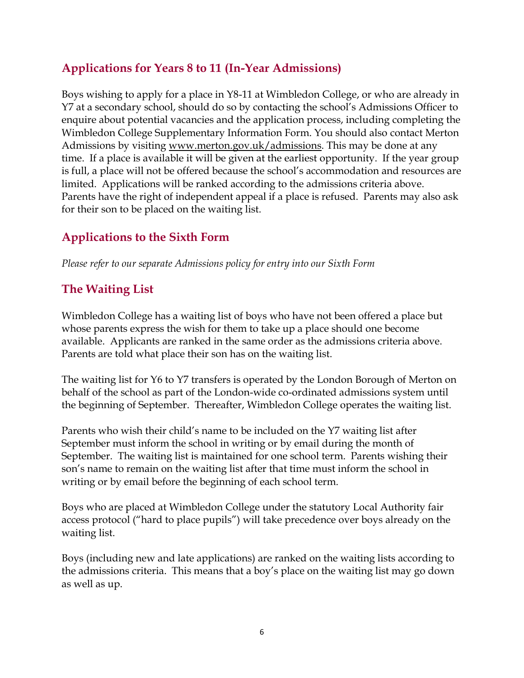## **Applications for Years 8 to 11 (In-Year Admissions)**

Boys wishing to apply for a place in Y8-11 at Wimbledon College, or who are already in Y7 at a secondary school, should do so by contacting the school's Admissions Officer to enquire about potential vacancies and the application process, including completing the Wimbledon College Supplementary Information Form. You should also contact Merton Admissions by visiting [www.merton.gov.uk/admissions.](http://www.merton.gov.uk/admissions) This may be done at any time. If a place is available it will be given at the earliest opportunity. If the year group is full, a place will not be offered because the school's accommodation and resources are limited. Applications will be ranked according to the admissions criteria above. Parents have the right of independent appeal if a place is refused. Parents may also ask for their son to be placed on the waiting list.

## **Applications to the Sixth Form**

*Please refer to our separate Admissions policy for entry into our Sixth Form*

## **The Waiting List**

Wimbledon College has a waiting list of boys who have not been offered a place but whose parents express the wish for them to take up a place should one become available. Applicants are ranked in the same order as the admissions criteria above. Parents are told what place their son has on the waiting list.

The waiting list for Y6 to Y7 transfers is operated by the London Borough of Merton on behalf of the school as part of the London-wide co-ordinated admissions system until the beginning of September. Thereafter, Wimbledon College operates the waiting list.

Parents who wish their child's name to be included on the Y7 waiting list after September must inform the school in writing or by email during the month of September. The waiting list is maintained for one school term. Parents wishing their son's name to remain on the waiting list after that time must inform the school in writing or by email before the beginning of each school term.

Boys who are placed at Wimbledon College under the statutory Local Authority fair access protocol ("hard to place pupils") will take precedence over boys already on the waiting list.

Boys (including new and late applications) are ranked on the waiting lists according to the admissions criteria. This means that a boy's place on the waiting list may go down as well as up.